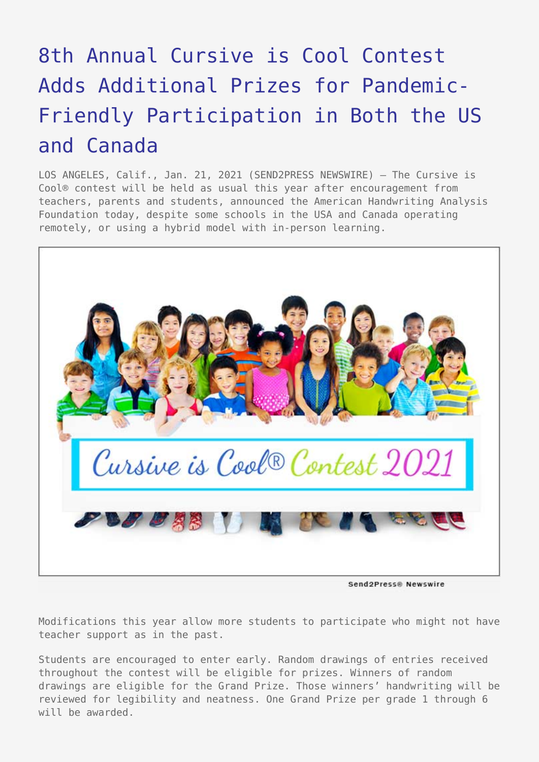## [8th Annual Cursive is Cool Contest](https://www.send2press.com/wire/8th-annual-cursive-is-cool-contest-adds-additional-prizes-for-pandemic-friendly-participation-in-both-the-us-and-canada/) [Adds Additional Prizes for Pandemic-](https://www.send2press.com/wire/8th-annual-cursive-is-cool-contest-adds-additional-prizes-for-pandemic-friendly-participation-in-both-the-us-and-canada/)[Friendly Participation in Both the US](https://www.send2press.com/wire/8th-annual-cursive-is-cool-contest-adds-additional-prizes-for-pandemic-friendly-participation-in-both-the-us-and-canada/) [and Canada](https://www.send2press.com/wire/8th-annual-cursive-is-cool-contest-adds-additional-prizes-for-pandemic-friendly-participation-in-both-the-us-and-canada/)

LOS ANGELES, Calif., Jan. 21, 2021 (SEND2PRESS NEWSWIRE) — The Cursive is Cool® contest will be held as usual this year after encouragement from teachers, parents and students, announced the American Handwriting Analysis Foundation today, despite some schools in the USA and Canada operating remotely, or using a hybrid model with in-person learning.



Send2Press® Newswire

Modifications this year allow more students to participate who might not have teacher support as in the past.

Students are encouraged to enter early. Random drawings of entries received throughout the contest will be eligible for prizes. Winners of random drawings are eligible for the Grand Prize. Those winners' handwriting will be reviewed for legibility and neatness. One Grand Prize per grade 1 through 6 will be awarded.